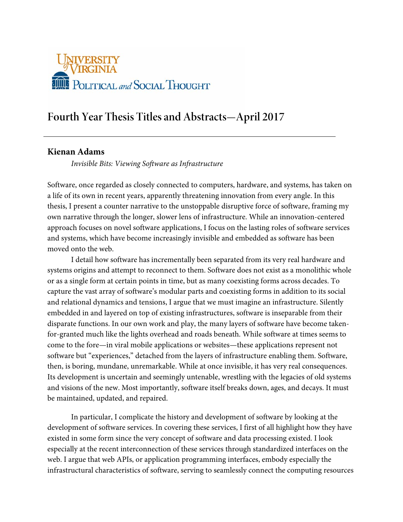

# **Fourth Year Thesis Titles and Abstracts—April 2017**

# **Kienan Adams**

*Invisible Bits: Viewing Software as Infrastructure*

Software, once regarded as closely connected to computers, hardware, and systems, has taken on a life of its own in recent years, apparently threatening innovation from every angle. In this thesis, I present a counter narrative to the unstoppable disruptive force of software, framing my own narrative through the longer, slower lens of infrastructure. While an innovation-centered approach focuses on novel software applications, I focus on the lasting roles of software services and systems, which have become increasingly invisible and embedded as software has been moved onto the web.

I detail how software has incrementally been separated from its very real hardware and systems origins and attempt to reconnect to them. Software does not exist as a monolithic whole or as a single form at certain points in time, but as many coexisting forms across decades. To capture the vast array of software's modular parts and coexisting forms in addition to its social and relational dynamics and tensions, I argue that we must imagine an infrastructure. Silently embedded in and layered on top of existing infrastructures, software is inseparable from their disparate functions. In our own work and play, the many layers of software have become takenfor-granted much like the lights overhead and roads beneath. While software at times seems to come to the fore—in viral mobile applications or websites—these applications represent not software but "experiences," detached from the layers of infrastructure enabling them. Software, then, is boring, mundane, unremarkable. While at once invisible, it has very real consequences. Its development is uncertain and seemingly untenable, wrestling with the legacies of old systems and visions of the new. Most importantly, software itself breaks down, ages, and decays. It must be maintained, updated, and repaired.

In particular, I complicate the history and development of software by looking at the development of software services. In covering these services, I first of all highlight how they have existed in some form since the very concept of software and data processing existed. I look especially at the recent interconnection of these services through standardized interfaces on the web. I argue that web APIs, or application programming interfaces, embody especially the infrastructural characteristics of software, serving to seamlessly connect the computing resources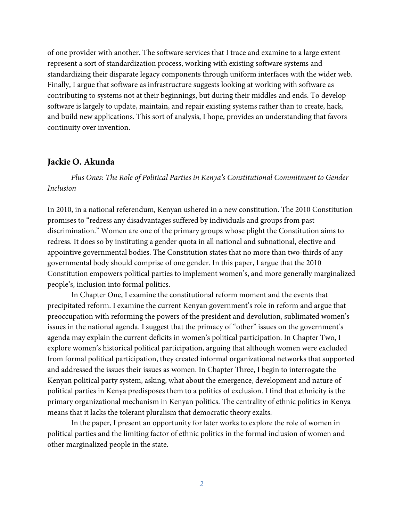of one provider with another. The software services that I trace and examine to a large extent represent a sort of standardization process, working with existing software systems and standardizing their disparate legacy components through uniform interfaces with the wider web. Finally, I argue that software as infrastructure suggests looking at working with software as contributing to systems not at their beginnings, but during their middles and ends. To develop software is largely to update, maintain, and repair existing systems rather than to create, hack, and build new applications. This sort of analysis, I hope, provides an understanding that favors continuity over invention.

#### **Jackie O. Akunda**

*Plus Ones: The Role of Political Parties in Kenya's Constitutional Commitment to Gender Inclusion* 

In 2010, in a national referendum, Kenyan ushered in a new constitution. The 2010 Constitution promises to "redress any disadvantages suffered by individuals and groups from past discrimination." Women are one of the primary groups whose plight the Constitution aims to redress. It does so by instituting a gender quota in all national and subnational, elective and appointive governmental bodies. The Constitution states that no more than two-thirds of any governmental body should comprise of one gender. In this paper, I argue that the 2010 Constitution empowers political parties to implement women's, and more generally marginalized people's, inclusion into formal politics.

In Chapter One, I examine the constitutional reform moment and the events that precipitated reform. I examine the current Kenyan government's role in reform and argue that preoccupation with reforming the powers of the president and devolution, sublimated women's issues in the national agenda. I suggest that the primacy of "other" issues on the government's agenda may explain the current deficits in women's political participation. In Chapter Two, I explore women's historical political participation, arguing that although women were excluded from formal political participation, they created informal organizational networks that supported and addressed the issues their issues as women. In Chapter Three, I begin to interrogate the Kenyan political party system, asking, what about the emergence, development and nature of political parties in Kenya predisposes them to a politics of exclusion. I find that ethnicity is the primary organizational mechanism in Kenyan politics. The centrality of ethnic politics in Kenya means that it lacks the tolerant pluralism that democratic theory exalts.

In the paper, I present an opportunity for later works to explore the role of women in political parties and the limiting factor of ethnic politics in the formal inclusion of women and other marginalized people in the state.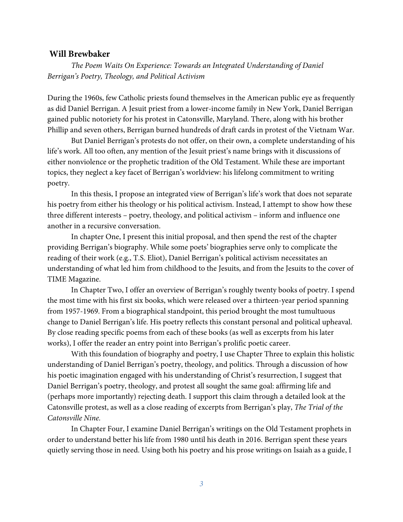# **Will Brewbaker**

*The Poem Waits On Experience: Towards an Integrated Understanding of Daniel Berrigan's Poetry, Theology, and Political Activism*

During the 1960s, few Catholic priests found themselves in the American public eye as frequently as did Daniel Berrigan. A Jesuit priest from a lower-income family in New York, Daniel Berrigan gained public notoriety for his protest in Catonsville, Maryland. There, along with his brother Phillip and seven others, Berrigan burned hundreds of draft cards in protest of the Vietnam War.

But Daniel Berrigan's protests do not offer, on their own, a complete understanding of his life's work. All too often, any mention of the Jesuit priest's name brings with it discussions of either nonviolence or the prophetic tradition of the Old Testament. While these are important topics, they neglect a key facet of Berrigan's worldview: his lifelong commitment to writing poetry.

In this thesis, I propose an integrated view of Berrigan's life's work that does not separate his poetry from either his theology or his political activism. Instead, I attempt to show how these three different interests – poetry, theology, and political activism – inform and influence one another in a recursive conversation.

In chapter One, I present this initial proposal, and then spend the rest of the chapter providing Berrigan's biography. While some poets' biographies serve only to complicate the reading of their work (e.g., T.S. Eliot), Daniel Berrigan's political activism necessitates an understanding of what led him from childhood to the Jesuits, and from the Jesuits to the cover of TIME Magazine.

In Chapter Two, I offer an overview of Berrigan's roughly twenty books of poetry. I spend the most time with his first six books, which were released over a thirteen-year period spanning from 1957-1969. From a biographical standpoint, this period brought the most tumultuous change to Daniel Berrigan's life. His poetry reflects this constant personal and political upheaval. By close reading specific poems from each of these books (as well as excerpts from his later works), I offer the reader an entry point into Berrigan's prolific poetic career.

With this foundation of biography and poetry, I use Chapter Three to explain this holistic understanding of Daniel Berrigan's poetry, theology, and politics. Through a discussion of how his poetic imagination engaged with his understanding of Christ's resurrection, I suggest that Daniel Berrigan's poetry, theology, and protest all sought the same goal: affirming life and (perhaps more importantly) rejecting death. I support this claim through a detailed look at the Catonsville protest, as well as a close reading of excerpts from Berrigan's play, *The Trial of the Catonsville Nine.* 

In Chapter Four, I examine Daniel Berrigan's writings on the Old Testament prophets in order to understand better his life from 1980 until his death in 2016. Berrigan spent these years quietly serving those in need. Using both his poetry and his prose writings on Isaiah as a guide, I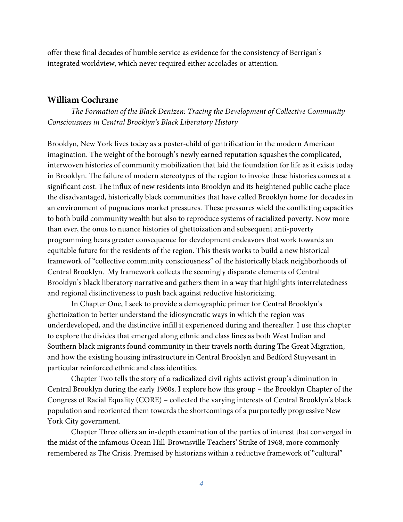offer these final decades of humble service as evidence for the consistency of Berrigan's integrated worldview, which never required either accolades or attention.

# **William Cochrane**

*The Formation of the Black Denizen: Tracing the Development of Collective Community Consciousness in Central Brooklyn's Black Liberatory History* 

Brooklyn, New York lives today as a poster-child of gentrification in the modern American imagination. The weight of the borough's newly earned reputation squashes the complicated, interwoven histories of community mobilization that laid the foundation for life as it exists today in Brooklyn. The failure of modern stereotypes of the region to invoke these histories comes at a significant cost. The influx of new residents into Brooklyn and its heightened public cache place the disadvantaged, historically black communities that have called Brooklyn home for decades in an environment of pugnacious market pressures. These pressures wield the conflicting capacities to both build community wealth but also to reproduce systems of racialized poverty. Now more than ever, the onus to nuance histories of ghettoization and subsequent anti-poverty programming bears greater consequence for development endeavors that work towards an equitable future for the residents of the region. This thesis works to build a new historical framework of "collective community consciousness" of the historically black neighborhoods of Central Brooklyn. My framework collects the seemingly disparate elements of Central Brooklyn's black liberatory narrative and gathers them in a way that highlights interrelatedness and regional distinctiveness to push back against reductive historicizing.

In Chapter One, I seek to provide a demographic primer for Central Brooklyn's ghettoization to better understand the idiosyncratic ways in which the region was underdeveloped, and the distinctive infill it experienced during and thereafter. I use this chapter to explore the divides that emerged along ethnic and class lines as both West Indian and Southern black migrants found community in their travels north during The Great Migration, and how the existing housing infrastructure in Central Brooklyn and Bedford Stuyvesant in particular reinforced ethnic and class identities.

Chapter Two tells the story of a radicalized civil rights activist group's diminution in Central Brooklyn during the early 1960s. I explore how this group – the Brooklyn Chapter of the Congress of Racial Equality (CORE) – collected the varying interests of Central Brooklyn's black population and reoriented them towards the shortcomings of a purportedly progressive New York City government.

Chapter Three offers an in-depth examination of the parties of interest that converged in the midst of the infamous Ocean Hill-Brownsville Teachers' Strike of 1968, more commonly remembered as The Crisis. Premised by historians within a reductive framework of "cultural"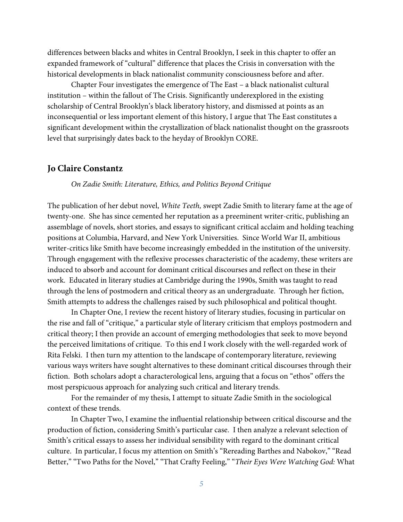differences between blacks and whites in Central Brooklyn, I seek in this chapter to offer an expanded framework of "cultural" difference that places the Crisis in conversation with the historical developments in black nationalist community consciousness before and after.

Chapter Four investigates the emergence of The East – a black nationalist cultural institution – within the fallout of The Crisis. Significantly underexplored in the existing scholarship of Central Brooklyn's black liberatory history, and dismissed at points as an inconsequential or less important element of this history, I argue that The East constitutes a significant development within the crystallization of black nationalist thought on the grassroots level that surprisingly dates back to the heyday of Brooklyn CORE.

#### **Jo Claire Constantz**

#### *On Zadie Smith: Literature, Ethics, and Politics Beyond Critique*

The publication of her debut novel, *White Teeth,* swept Zadie Smith to literary fame at the age of twenty-one. She has since cemented her reputation as a preeminent writer-critic, publishing an assemblage of novels, short stories, and essays to significant critical acclaim and holding teaching positions at Columbia, Harvard, and New York Universities. Since World War II, ambitious writer-critics like Smith have become increasingly embedded in the institution of the university. Through engagement with the reflexive processes characteristic of the academy, these writers are induced to absorb and account for dominant critical discourses and reflect on these in their work. Educated in literary studies at Cambridge during the 1990s, Smith was taught to read through the lens of postmodern and critical theory as an undergraduate. Through her fiction, Smith attempts to address the challenges raised by such philosophical and political thought.

In Chapter One, I review the recent history of literary studies, focusing in particular on the rise and fall of "critique," a particular style of literary criticism that employs postmodern and critical theory; I then provide an account of emerging methodologies that seek to move beyond the perceived limitations of critique. To this end I work closely with the well-regarded work of Rita Felski. I then turn my attention to the landscape of contemporary literature, reviewing various ways writers have sought alternatives to these dominant critical discourses through their fiction. Both scholars adopt a characterological lens, arguing that a focus on "ethos" offers the most perspicuous approach for analyzing such critical and literary trends.

For the remainder of my thesis, I attempt to situate Zadie Smith in the sociological context of these trends.

In Chapter Two, I examine the influential relationship between critical discourse and the production of fiction, considering Smith's particular case. I then analyze a relevant selection of Smith's critical essays to assess her individual sensibility with regard to the dominant critical culture. In particular, I focus my attention on Smith's "Rereading Barthes and Nabokov," "Read Better," "Two Paths for the Novel," "That Crafty Feeling," "*Their Eyes Were Watching God:* What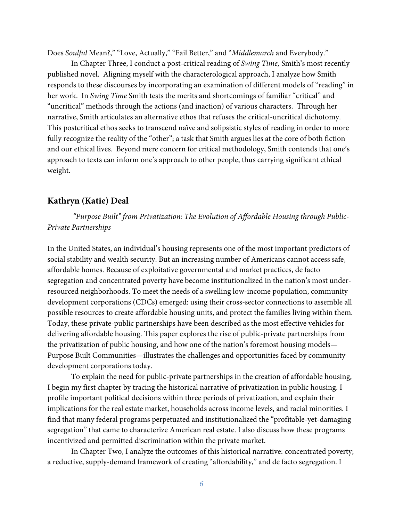Does *Soulful* Mean?," "Love, Actually," "Fail Better," and "*Middlemarch* and Everybody."

In Chapter Three, I conduct a post-critical reading of *Swing Time,* Smith's most recently published novel. Aligning myself with the characterological approach, I analyze how Smith responds to these discourses by incorporating an examination of different models of "reading" in her work. In *Swing Time* Smith tests the merits and shortcomings of familiar "critical" and "uncritical" methods through the actions (and inaction) of various characters. Through her narrative, Smith articulates an alternative ethos that refuses the critical-uncritical dichotomy. This postcritical ethos seeks to transcend naïve and solipsistic styles of reading in order to more fully recognize the reality of the "other"; a task that Smith argues lies at the core of both fiction and our ethical lives. Beyond mere concern for critical methodology, Smith contends that one's approach to texts can inform one's approach to other people, thus carrying significant ethical weight.

# **Kathryn (Katie) Deal**

*"Purpose Built" from Privatization: The Evolution of Affordable Housing through Public-Private Partnerships* 

In the United States, an individual's housing represents one of the most important predictors of social stability and wealth security. But an increasing number of Americans cannot access safe, affordable homes. Because of exploitative governmental and market practices, de facto segregation and concentrated poverty have become institutionalized in the nation's most underresourced neighborhoods. To meet the needs of a swelling low-income population, community development corporations (CDCs) emerged: using their cross-sector connections to assemble all possible resources to create affordable housing units, and protect the families living within them. Today, these private-public partnerships have been described as the most effective vehicles for delivering affordable housing. This paper explores the rise of public-private partnerships from the privatization of public housing, and how one of the nation's foremost housing models— Purpose Built Communities—illustrates the challenges and opportunities faced by community development corporations today.

To explain the need for public-private partnerships in the creation of affordable housing, I begin my first chapter by tracing the historical narrative of privatization in public housing. I profile important political decisions within three periods of privatization, and explain their implications for the real estate market, households across income levels, and racial minorities. I find that many federal programs perpetuated and institutionalized the "profitable-yet-damaging segregation" that came to characterize American real estate. I also discuss how these programs incentivized and permitted discrimination within the private market.

In Chapter Two, I analyze the outcomes of this historical narrative: concentrated poverty; a reductive, supply-demand framework of creating "affordability," and de facto segregation. I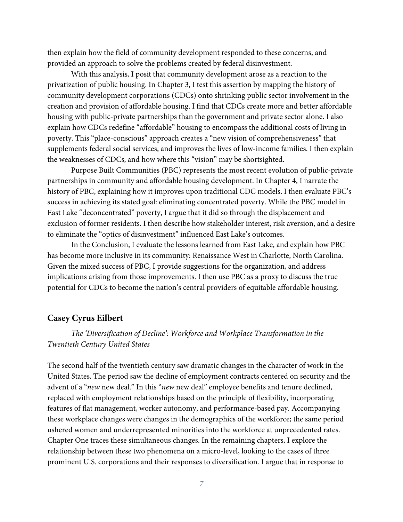then explain how the field of community development responded to these concerns, and provided an approach to solve the problems created by federal disinvestment.

With this analysis, I posit that community development arose as a reaction to the privatization of public housing. In Chapter 3, I test this assertion by mapping the history of community development corporations (CDCs) onto shrinking public sector involvement in the creation and provision of affordable housing. I find that CDCs create more and better affordable housing with public-private partnerships than the government and private sector alone. I also explain how CDCs redefine "affordable" housing to encompass the additional costs of living in poverty. This "place-conscious" approach creates a "new vision of comprehensiveness" that supplements federal social services, and improves the lives of low-income families. I then explain the weaknesses of CDCs, and how where this "vision" may be shortsighted.

Purpose Built Communities (PBC) represents the most recent evolution of public-private partnerships in community and affordable housing development. In Chapter 4, I narrate the history of PBC, explaining how it improves upon traditional CDC models. I then evaluate PBC's success in achieving its stated goal: eliminating concentrated poverty. While the PBC model in East Lake "deconcentrated" poverty, I argue that it did so through the displacement and exclusion of former residents. I then describe how stakeholder interest, risk aversion, and a desire to eliminate the "optics of disinvestment" influenced East Lake's outcomes.

In the Conclusion, I evaluate the lessons learned from East Lake, and explain how PBC has become more inclusive in its community: Renaissance West in Charlotte, North Carolina. Given the mixed success of PBC, I provide suggestions for the organization, and address implications arising from those improvements. I then use PBC as a proxy to discuss the true potential for CDCs to become the nation's central providers of equitable affordable housing.

# **Casey Cyrus Eilbert**

# *The 'Diversification of Decline': Workforce and Workplace Transformation in the Twentieth Century United States*

The second half of the twentieth century saw dramatic changes in the character of work in the United States. The period saw the decline of employment contracts centered on security and the advent of a "*new* new deal." In this "*new* new deal" employee benefits and tenure declined, replaced with employment relationships based on the principle of flexibility, incorporating features of flat management, worker autonomy, and performance-based pay. Accompanying these workplace changes were changes in the demographics of the workforce; the same period ushered women and underrepresented minorities into the workforce at unprecedented rates. Chapter One traces these simultaneous changes. In the remaining chapters, I explore the relationship between these two phenomena on a micro-level, looking to the cases of three prominent U.S. corporations and their responses to diversification. I argue that in response to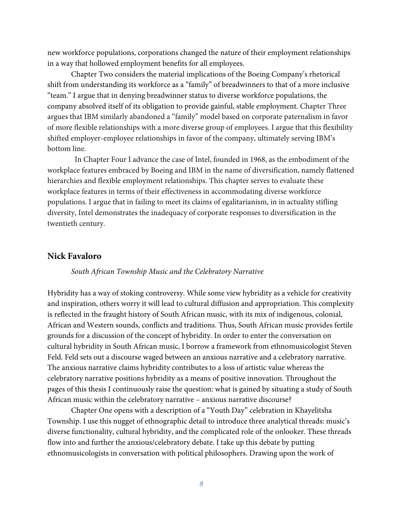new workforce populations, corporations changed the nature of their employment relationships in a way that hollowed employment benefits for all employees.

Chapter Two considers the material implications of the Boeing Company's rhetorical shift from understanding its workforce as a "family" of breadwinners to that of a more inclusive "team." I argue that in denying breadwinner status to diverse workforce populations, the company absolved itself of its obligation to provide gainful, stable employment. Chapter Three argues that IBM similarly abandoned a "family" model based on corporate paternalism in favor of more flexible relationships with a more diverse group of employees. I argue that this flexibility shifted employer-employee relationships in favor of the company, ultimately serving IBM's bottom line.

 In Chapter Four I advance the case of Intel, founded in 1968, as the embodiment of the workplace features embraced by Boeing and IBM in the name of diversification, namely flattened hierarchies and flexible employment relationships. This chapter serves to evaluate these workplace features in terms of their effectiveness in accommodating diverse workforce populations. I argue that in failing to meet its claims of egalitarianism, in in actuality stifling diversity, Intel demonstrates the inadequacy of corporate responses to diversification in the twentieth century.

#### **Nick Favaloro**

#### *South African Township Music and the Celebratory Narrative*

Hybridity has a way of stoking controversy. While some view hybridity as a vehicle for creativity and inspiration, others worry it will lead to cultural diffusion and appropriation. This complexity is reflected in the fraught history of South African music, with its mix of indigenous, colonial, African and Western sounds, conflicts and traditions. Thus, South African music provides fertile grounds for a discussion of the concept of hybridity. In order to enter the conversation on cultural hybridity in South African music, I borrow a framework from ethnomusicologist Steven Feld. Feld sets out a discourse waged between an anxious narrative and a celebratory narrative. The anxious narrative claims hybridity contributes to a loss of artistic value whereas the celebratory narrative positions hybridity as a means of positive innovation. Throughout the pages of this thesis I continuously raise the question: what is gained by situating a study of South African music within the celebratory narrative – anxious narrative discourse?

Chapter One opens with a description of a "Youth Day" celebration in Khayelitsha Township. I use this nugget of ethnographic detail to introduce three analytical threads: music's diverse functionality, cultural hybridity, and the complicated role of the onlooker. These threads flow into and further the anxious/celebratory debate. I take up this debate by putting ethnomusicologists in conversation with political philosophers. Drawing upon the work of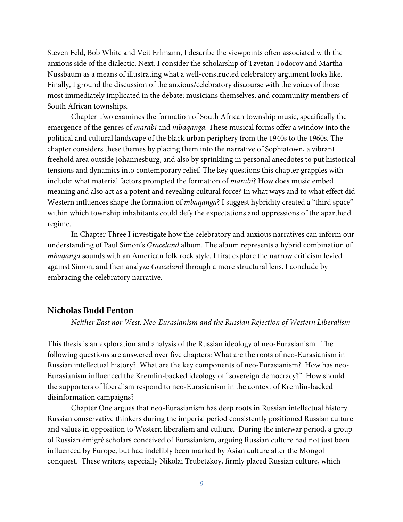Steven Feld, Bob White and Veit Erlmann, I describe the viewpoints often associated with the anxious side of the dialectic. Next, I consider the scholarship of Tzvetan Todorov and Martha Nussbaum as a means of illustrating what a well-constructed celebratory argument looks like. Finally, I ground the discussion of the anxious/celebratory discourse with the voices of those most immediately implicated in the debate: musicians themselves, and community members of South African townships.

Chapter Two examines the formation of South African township music, specifically the emergence of the genres of *marabi* and *mbaqanga*. These musical forms offer a window into the political and cultural landscape of the black urban periphery from the 1940s to the 1960s. The chapter considers these themes by placing them into the narrative of Sophiatown, a vibrant freehold area outside Johannesburg, and also by sprinkling in personal anecdotes to put historical tensions and dynamics into contemporary relief. The key questions this chapter grapples with include: what material factors prompted the formation of *marabi*? How does music embed meaning and also act as a potent and revealing cultural force? In what ways and to what effect did Western influences shape the formation of *mbaqanga*? I suggest hybridity created a "third space" within which township inhabitants could defy the expectations and oppressions of the apartheid regime.

In Chapter Three I investigate how the celebratory and anxious narratives can inform our understanding of Paul Simon's *Graceland* album. The album represents a hybrid combination of *mbaqanga* sounds with an American folk rock style. I first explore the narrow criticism levied against Simon, and then analyze *Graceland* through a more structural lens. I conclude by embracing the celebratory narrative.

## **Nicholas Budd Fenton**

*Neither East nor West: Neo-Eurasianism and the Russian Rejection of Western Liberalism*

This thesis is an exploration and analysis of the Russian ideology of neo-Eurasianism. The following questions are answered over five chapters: What are the roots of neo-Eurasianism in Russian intellectual history? What are the key components of neo-Eurasianism? How has neo-Eurasianism influenced the Kremlin-backed ideology of "sovereign democracy?" How should the supporters of liberalism respond to neo-Eurasianism in the context of Kremlin-backed disinformation campaigns?

Chapter One argues that neo-Eurasianism has deep roots in Russian intellectual history. Russian conservative thinkers during the imperial period consistently positioned Russian culture and values in opposition to Western liberalism and culture. During the interwar period, a group of Russian émigré scholars conceived of Eurasianism, arguing Russian culture had not just been influenced by Europe, but had indelibly been marked by Asian culture after the Mongol conquest. These writers, especially Nikolai Trubetzkoy, firmly placed Russian culture, which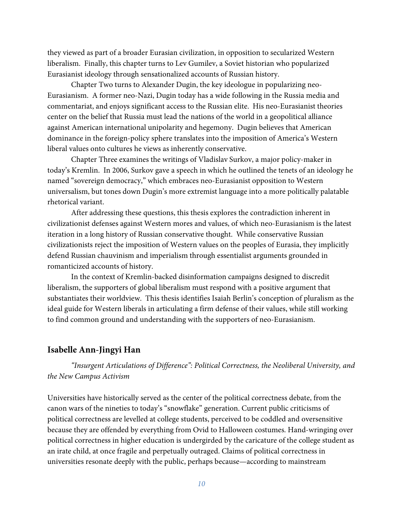they viewed as part of a broader Eurasian civilization, in opposition to secularized Western liberalism. Finally, this chapter turns to Lev Gumilev, a Soviet historian who popularized Eurasianist ideology through sensationalized accounts of Russian history.

Chapter Two turns to Alexander Dugin, the key ideologue in popularizing neo-Eurasianism. A former neo-Nazi, Dugin today has a wide following in the Russia media and commentariat, and enjoys significant access to the Russian elite. His neo-Eurasianist theories center on the belief that Russia must lead the nations of the world in a geopolitical alliance against American international unipolarity and hegemony. Dugin believes that American dominance in the foreign-policy sphere translates into the imposition of America's Western liberal values onto cultures he views as inherently conservative.

Chapter Three examines the writings of Vladislav Surkov, a major policy-maker in today's Kremlin. In 2006, Surkov gave a speech in which he outlined the tenets of an ideology he named "sovereign democracy," which embraces neo-Eurasianist opposition to Western universalism, but tones down Dugin's more extremist language into a more politically palatable rhetorical variant.

After addressing these questions, this thesis explores the contradiction inherent in civilizationist defenses against Western mores and values, of which neo-Eurasianism is the latest iteration in a long history of Russian conservative thought. While conservative Russian civilizationists reject the imposition of Western values on the peoples of Eurasia, they implicitly defend Russian chauvinism and imperialism through essentialist arguments grounded in romanticized accounts of history.

In the context of Kremlin-backed disinformation campaigns designed to discredit liberalism, the supporters of global liberalism must respond with a positive argument that substantiates their worldview. This thesis identifies Isaiah Berlin's conception of pluralism as the ideal guide for Western liberals in articulating a firm defense of their values, while still working to find common ground and understanding with the supporters of neo-Eurasianism.

#### **Isabelle Ann-Jingyi Han**

*"Insurgent Articulations of Difference": Political Correctness, the Neoliberal University, and the New Campus Activism*

Universities have historically served as the center of the political correctness debate, from the canon wars of the nineties to today's "snowflake" generation. Current public criticisms of political correctness are levelled at college students, perceived to be coddled and oversensitive because they are offended by everything from Ovid to Halloween costumes. Hand-wringing over political correctness in higher education is undergirded by the caricature of the college student as an irate child, at once fragile and perpetually outraged. Claims of political correctness in universities resonate deeply with the public, perhaps because—according to mainstream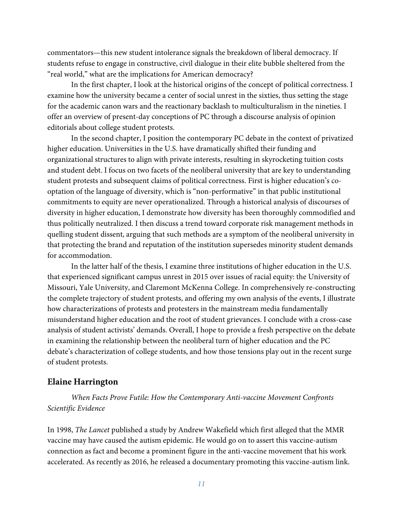commentators—this new student intolerance signals the breakdown of liberal democracy. If students refuse to engage in constructive, civil dialogue in their elite bubble sheltered from the "real world," what are the implications for American democracy?

In the first chapter, I look at the historical origins of the concept of political correctness. I examine how the university became a center of social unrest in the sixties, thus setting the stage for the academic canon wars and the reactionary backlash to multiculturalism in the nineties. I offer an overview of present-day conceptions of PC through a discourse analysis of opinion editorials about college student protests.

 In the second chapter, I position the contemporary PC debate in the context of privatized higher education. Universities in the U.S. have dramatically shifted their funding and organizational structures to align with private interests, resulting in skyrocketing tuition costs and student debt. I focus on two facets of the neoliberal university that are key to understanding student protests and subsequent claims of political correctness. First is higher education's cooptation of the language of diversity, which is "non-performative" in that public institutional commitments to equity are never operationalized. Through a historical analysis of discourses of diversity in higher education, I demonstrate how diversity has been thoroughly commodified and thus politically neutralized. I then discuss a trend toward corporate risk management methods in quelling student dissent, arguing that such methods are a symptom of the neoliberal university in that protecting the brand and reputation of the institution supersedes minority student demands for accommodation.

 In the latter half of the thesis, I examine three institutions of higher education in the U.S. that experienced significant campus unrest in 2015 over issues of racial equity: the University of Missouri, Yale University, and Claremont McKenna College. In comprehensively re-constructing the complete trajectory of student protests, and offering my own analysis of the events, I illustrate how characterizations of protests and protesters in the mainstream media fundamentally misunderstand higher education and the root of student grievances. I conclude with a cross-case analysis of student activists' demands. Overall, I hope to provide a fresh perspective on the debate in examining the relationship between the neoliberal turn of higher education and the PC debate's characterization of college students, and how those tensions play out in the recent surge of student protests.

# **Elaine Harrington**

*When Facts Prove Futile: How the Contemporary Anti-vaccine Movement Confronts Scientific Evidence* 

In 1998, *The Lancet* published a study by Andrew Wakefield which first alleged that the MMR vaccine may have caused the autism epidemic. He would go on to assert this vaccine-autism connection as fact and become a prominent figure in the anti-vaccine movement that his work accelerated. As recently as 2016, he released a documentary promoting this vaccine-autism link.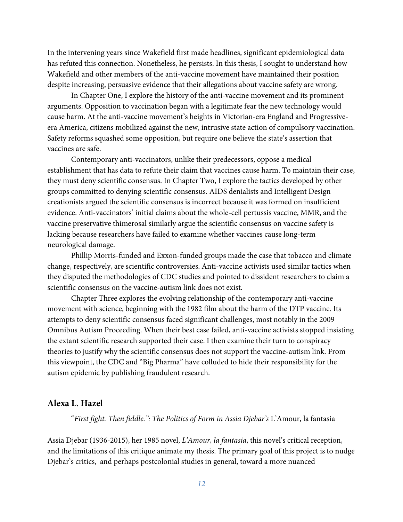In the intervening years since Wakefield first made headlines, significant epidemiological data has refuted this connection. Nonetheless, he persists. In this thesis, I sought to understand how Wakefield and other members of the anti-vaccine movement have maintained their position despite increasing, persuasive evidence that their allegations about vaccine safety are wrong.

In Chapter One, I explore the history of the anti-vaccine movement and its prominent arguments. Opposition to vaccination began with a legitimate fear the new technology would cause harm. At the anti-vaccine movement's heights in Victorian-era England and Progressiveera America, citizens mobilized against the new, intrusive state action of compulsory vaccination. Safety reforms squashed some opposition, but require one believe the state's assertion that vaccines are safe.

Contemporary anti-vaccinators, unlike their predecessors, oppose a medical establishment that has data to refute their claim that vaccines cause harm. To maintain their case, they must deny scientific consensus. In Chapter Two, I explore the tactics developed by other groups committed to denying scientific consensus. AIDS denialists and Intelligent Design creationists argued the scientific consensus is incorrect because it was formed on insufficient evidence. Anti-vaccinators' initial claims about the whole-cell pertussis vaccine, MMR, and the vaccine preservative thimerosal similarly argue the scientific consensus on vaccine safety is lacking because researchers have failed to examine whether vaccines cause long-term neurological damage.

Phillip Morris-funded and Exxon-funded groups made the case that tobacco and climate change, respectively, are scientific controversies. Anti-vaccine activists used similar tactics when they disputed the methodologies of CDC studies and pointed to dissident researchers to claim a scientific consensus on the vaccine-autism link does not exist.

Chapter Three explores the evolving relationship of the contemporary anti-vaccine movement with science, beginning with the 1982 film about the harm of the DTP vaccine. Its attempts to deny scientific consensus faced significant challenges, most notably in the 2009 Omnibus Autism Proceeding. When their best case failed, anti-vaccine activists stopped insisting the extant scientific research supported their case. I then examine their turn to conspiracy theories to justify why the scientific consensus does not support the vaccine-autism link. From this viewpoint, the CDC and "Big Pharma" have colluded to hide their responsibility for the autism epidemic by publishing fraudulent research.

#### **Alexa L. Hazel**

"*First fight. Then fiddle.": The Politics of Form in Assia Djebar's* L'Amour, la fantasia

Assia Djebar (1936-2015), her 1985 novel, *L'Amour, la fantasia*, this novel's critical reception, and the limitations of this critique animate my thesis. The primary goal of this project is to nudge Djebar's critics, and perhaps postcolonial studies in general, toward a more nuanced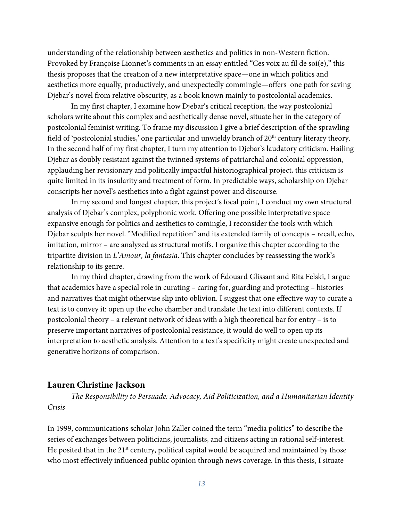understanding of the relationship between aesthetics and politics in non-Western fiction. Provoked by Françoise Lionnet's comments in an essay entitled "Ces voix au fil de soi(e)," this thesis proposes that the creation of a new interpretative space—one in which politics and aesthetics more equally, productively, and unexpectedly commingle—offers one path for saving Djebar's novel from relative obscurity, as a book known mainly to postcolonial academics.

In my first chapter, I examine how Djebar's critical reception, the way postcolonial scholars write about this complex and aesthetically dense novel, situate her in the category of postcolonial feminist writing. To frame my discussion I give a brief description of the sprawling field of 'postcolonial studies,' one particular and unwieldy branch of 20<sup>th</sup> century literary theory. In the second half of my first chapter, I turn my attention to Djebar's laudatory criticism. Hailing Djebar as doubly resistant against the twinned systems of patriarchal and colonial oppression, applauding her revisionary and politically impactful historiographical project, this criticism is quite limited in its insularity and treatment of form. In predictable ways, scholarship on Djebar conscripts her novel's aesthetics into a fight against power and discourse.

In my second and longest chapter, this project's focal point, I conduct my own structural analysis of Djebar's complex, polyphonic work. Offering one possible interpretative space expansive enough for politics and aesthetics to comingle, I reconsider the tools with which Djebar sculpts her novel. "Modified repetition" and its extended family of concepts – recall, echo, imitation, mirror – are analyzed as structural motifs. I organize this chapter according to the tripartite division in *L'Amour, la fantasia*. This chapter concludes by reassessing the work's relationship to its genre.

In my third chapter, drawing from the work of Édouard Glissant and Rita Felski, I argue that academics have a special role in curating – caring for, guarding and protecting – histories and narratives that might otherwise slip into oblivion. I suggest that one effective way to curate a text is to convey it: open up the echo chamber and translate the text into different contexts. If postcolonial theory – a relevant network of ideas with a high theoretical bar for entry – is to preserve important narratives of postcolonial resistance, it would do well to open up its interpretation to aesthetic analysis. Attention to a text's specificity might create unexpected and generative horizons of comparison.

#### **Lauren Christine Jackson**

*The Responsibility to Persuade: Advocacy, Aid Politicization, and a Humanitarian Identity Crisis*

In 1999, communications scholar John Zaller coined the term "media politics" to describe the series of exchanges between politicians, journalists, and citizens acting in rational self-interest. He posited that in the  $21<sup>st</sup>$  century, political capital would be acquired and maintained by those who most effectively influenced public opinion through news coverage. In this thesis, I situate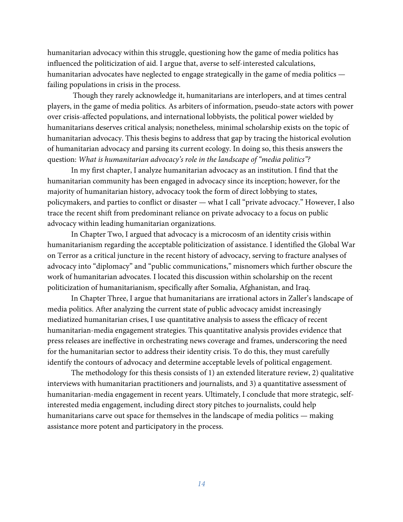humanitarian advocacy within this struggle, questioning how the game of media politics has influenced the politicization of aid. I argue that, averse to self-interested calculations, humanitarian advocates have neglected to engage strategically in the game of media politics failing populations in crisis in the process.

Though they rarely acknowledge it, humanitarians are interlopers, and at times central players, in the game of media politics. As arbiters of information, pseudo-state actors with power over crisis-affected populations, and international lobbyists, the political power wielded by humanitarians deserves critical analysis; nonetheless, minimal scholarship exists on the topic of humanitarian advocacy. This thesis begins to address that gap by tracing the historical evolution of humanitarian advocacy and parsing its current ecology. In doing so, this thesis answers the question: *What is humanitarian advocacy's role in the landscape of "media politics"?*

In my first chapter, I analyze humanitarian advocacy as an institution. I find that the humanitarian community has been engaged in advocacy since its inception; however, for the majority of humanitarian history, advocacy took the form of direct lobbying to states, policymakers, and parties to conflict or disaster — what I call "private advocacy." However, I also trace the recent shift from predominant reliance on private advocacy to a focus on public advocacy within leading humanitarian organizations.

In Chapter Two, I argued that advocacy is a microcosm of an identity crisis within humanitarianism regarding the acceptable politicization of assistance. I identified the Global War on Terror as a critical juncture in the recent history of advocacy, serving to fracture analyses of advocacy into "diplomacy" and "public communications," misnomers which further obscure the work of humanitarian advocates. I located this discussion within scholarship on the recent politicization of humanitarianism, specifically after Somalia, Afghanistan, and Iraq.

In Chapter Three, I argue that humanitarians are irrational actors in Zaller's landscape of media politics. After analyzing the current state of public advocacy amidst increasingly mediatized humanitarian crises, I use quantitative analysis to assess the efficacy of recent humanitarian-media engagement strategies. This quantitative analysis provides evidence that press releases are ineffective in orchestrating news coverage and frames, underscoring the need for the humanitarian sector to address their identity crisis. To do this, they must carefully identify the contours of advocacy and determine acceptable levels of political engagement.

The methodology for this thesis consists of 1) an extended literature review, 2) qualitative interviews with humanitarian practitioners and journalists, and 3) a quantitative assessment of humanitarian-media engagement in recent years. Ultimately, I conclude that more strategic, selfinterested media engagement, including direct story pitches to journalists, could help humanitarians carve out space for themselves in the landscape of media politics — making assistance more potent and participatory in the process.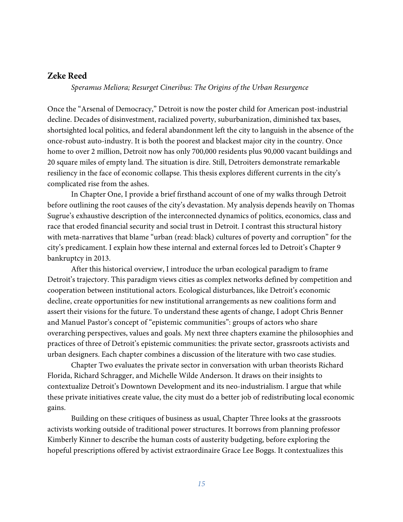# **Zeke Reed**

*Speramus Meliora; Resurget Cineribus: The Origins of the Urban Resurgence*

Once the "Arsenal of Democracy," Detroit is now the poster child for American post-industrial decline. Decades of disinvestment, racialized poverty, suburbanization, diminished tax bases, shortsighted local politics, and federal abandonment left the city to languish in the absence of the once-robust auto-industry. It is both the poorest and blackest major city in the country. Once home to over 2 million, Detroit now has only 700,000 residents plus 90,000 vacant buildings and 20 square miles of empty land. The situation is dire. Still, Detroiters demonstrate remarkable resiliency in the face of economic collapse. This thesis explores different currents in the city's complicated rise from the ashes.

In Chapter One, I provide a brief firsthand account of one of my walks through Detroit before outlining the root causes of the city's devastation. My analysis depends heavily on Thomas Sugrue's exhaustive description of the interconnected dynamics of politics, economics, class and race that eroded financial security and social trust in Detroit. I contrast this structural history with meta-narratives that blame "urban (read: black) cultures of poverty and corruption" for the city's predicament. I explain how these internal and external forces led to Detroit's Chapter 9 bankruptcy in 2013.

After this historical overview, I introduce the urban ecological paradigm to frame Detroit's trajectory. This paradigm views cities as complex networks defined by competition and cooperation between institutional actors. Ecological disturbances, like Detroit's economic decline, create opportunities for new institutional arrangements as new coalitions form and assert their visions for the future. To understand these agents of change, I adopt Chris Benner and Manuel Pastor's concept of "epistemic communities": groups of actors who share overarching perspectives, values and goals. My next three chapters examine the philosophies and practices of three of Detroit's epistemic communities: the private sector, grassroots activists and urban designers. Each chapter combines a discussion of the literature with two case studies.

Chapter Two evaluates the private sector in conversation with urban theorists Richard Florida, Richard Schragger, and Michelle Wilde Anderson. It draws on their insights to contextualize Detroit's Downtown Development and its neo-industrialism. I argue that while these private initiatives create value, the city must do a better job of redistributing local economic gains.

Building on these critiques of business as usual, Chapter Three looks at the grassroots activists working outside of traditional power structures. It borrows from planning professor Kimberly Kinner to describe the human costs of austerity budgeting, before exploring the hopeful prescriptions offered by activist extraordinaire Grace Lee Boggs. It contextualizes this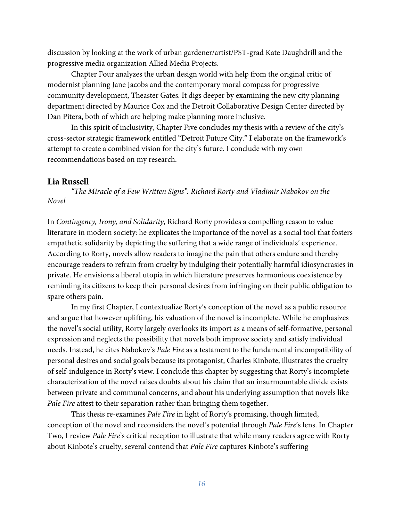discussion by looking at the work of urban gardener/artist/PST-grad Kate Daughdrill and the progressive media organization Allied Media Projects.

Chapter Four analyzes the urban design world with help from the original critic of modernist planning Jane Jacobs and the contemporary moral compass for progressive community development, Theaster Gates. It digs deeper by examining the new city planning department directed by Maurice Cox and the Detroit Collaborative Design Center directed by Dan Pitera, both of which are helping make planning more inclusive.

In this spirit of inclusivity, Chapter Five concludes my thesis with a review of the city's cross-sector strategic framework entitled "Detroit Future City." I elaborate on the framework's attempt to create a combined vision for the city's future. I conclude with my own recommendations based on my research.

# **Lia Russell**

*"The Miracle of a Few Written Signs": Richard Rorty and Vladimir Nabokov on the Novel*

In *Contingency, Irony, and Solidarity*, Richard Rorty provides a compelling reason to value literature in modern society: he explicates the importance of the novel as a social tool that fosters empathetic solidarity by depicting the suffering that a wide range of individuals' experience. According to Rorty, novels allow readers to imagine the pain that others endure and thereby encourage readers to refrain from cruelty by indulging their potentially harmful idiosyncrasies in private. He envisions a liberal utopia in which literature preserves harmonious coexistence by reminding its citizens to keep their personal desires from infringing on their public obligation to spare others pain.

In my first Chapter, I contextualize Rorty's conception of the novel as a public resource and argue that however uplifting, his valuation of the novel is incomplete. While he emphasizes the novel's social utility, Rorty largely overlooks its import as a means of self-formative, personal expression and neglects the possibility that novels both improve society and satisfy individual needs. Instead, he cites Nabokov's *Pale Fire* as a testament to the fundamental incompatibility of personal desires and social goals because its protagonist, Charles Kinbote, illustrates the cruelty of self-indulgence in Rorty's view. I conclude this chapter by suggesting that Rorty's incomplete characterization of the novel raises doubts about his claim that an insurmountable divide exists between private and communal concerns, and about his underlying assumption that novels like *Pale Fire* attest to their separation rather than bringing them together.

This thesis re-examines *Pale Fire* in light of Rorty's promising, though limited, conception of the novel and reconsiders the novel's potential through *Pale Fire*'s lens. In Chapter Two, I review *Pale Fire*'s critical reception to illustrate that while many readers agree with Rorty about Kinbote's cruelty, several contend that *Pale Fire* captures Kinbote's suffering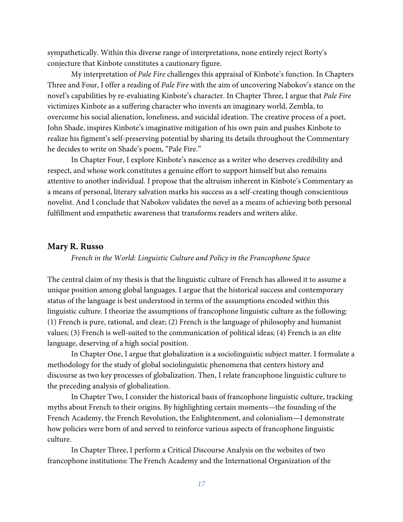sympathetically. Within this diverse range of interpretations, none entirely reject Rorty's conjecture that Kinbote constitutes a cautionary figure.

My interpretation of *Pale Fire* challenges this appraisal of Kinbote's function. In Chapters Three and Four, I offer a reading of *Pale Fire* with the aim of uncovering Nabokov's stance on the novel's capabilities by re-evaluating Kinbote's character. In Chapter Three, I argue that *Pale Fire*  victimizes Kinbote as a suffering character who invents an imaginary world, Zembla, to overcome his social alienation, loneliness, and suicidal ideation. The creative process of a poet, John Shade, inspires Kinbote's imaginative mitigation of his own pain and pushes Kinbote to realize his figment's self-preserving potential by sharing its details throughout the Commentary he decides to write on Shade's poem, "Pale Fire."

In Chapter Four, I explore Kinbote's nascence as a writer who deserves credibility and respect, and whose work constitutes a genuine effort to support himself but also remains attentive to another individual. I propose that the altruism inherent in Kinbote's Commentary as a means of personal, literary salvation marks his success as a self-creating though conscientious novelist. And I conclude that Nabokov validates the novel as a means of achieving both personal fulfillment and empathetic awareness that transforms readers and writers alike.

#### **Mary R. Russo**

#### *French in the World: Linguistic Culture and Policy in the Francophone Space*

The central claim of my thesis is that the linguistic culture of French has allowed it to assume a unique position among global languages. I argue that the historical success and contemporary status of the language is best understood in terms of the assumptions encoded within this linguistic culture. I theorize the assumptions of francophone linguistic culture as the following: (1) French is pure, rational, and clear; (2) French is the language of philosophy and humanist values; (3) French is well-suited to the communication of political ideas; (4) French is an elite language, deserving of a high social position.

In Chapter One, I argue that globalization is a sociolinguistic subject matter. I formulate a methodology for the study of global sociolinguistic phenomena that centers history and discourse as two key processes of globalization. Then, I relate francophone linguistic culture to the preceding analysis of globalization.

In Chapter Two, I consider the historical basis of francophone linguistic culture, tracking myths about French to their origins. By highlighting certain moments—the founding of the French Academy, the French Revolution, the Enlightenment, and colonialism—I demonstrate how policies were born of and served to reinforce various aspects of francophone linguistic culture.

In Chapter Three, I perform a Critical Discourse Analysis on the websites of two francophone institutions: The French Academy and the International Organization of the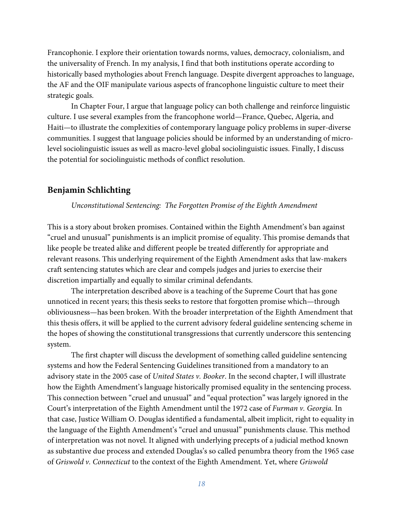Francophonie. I explore their orientation towards norms, values, democracy, colonialism, and the universality of French. In my analysis, I find that both institutions operate according to historically based mythologies about French language. Despite divergent approaches to language, the AF and the OIF manipulate various aspects of francophone linguistic culture to meet their strategic goals.

In Chapter Four, I argue that language policy can both challenge and reinforce linguistic culture. I use several examples from the francophone world—France, Quebec, Algeria, and Haiti—to illustrate the complexities of contemporary language policy problems in super-diverse communities. I suggest that language policies should be informed by an understanding of microlevel sociolinguistic issues as well as macro-level global sociolinguistic issues. Finally, I discuss the potential for sociolinguistic methods of conflict resolution.

# **Benjamin Schlichting**

#### *Unconstitutional Sentencing: The Forgotten Promise of the Eighth Amendment*

This is a story about broken promises. Contained within the Eighth Amendment's ban against "cruel and unusual" punishments is an implicit promise of equality. This promise demands that like people be treated alike and different people be treated differently for appropriate and relevant reasons. This underlying requirement of the Eighth Amendment asks that law-makers craft sentencing statutes which are clear and compels judges and juries to exercise their discretion impartially and equally to similar criminal defendants.

The interpretation described above is a teaching of the Supreme Court that has gone unnoticed in recent years; this thesis seeks to restore that forgotten promise which—through obliviousness—has been broken. With the broader interpretation of the Eighth Amendment that this thesis offers, it will be applied to the current advisory federal guideline sentencing scheme in the hopes of showing the constitutional transgressions that currently underscore this sentencing system.

The first chapter will discuss the development of something called guideline sentencing systems and how the Federal Sentencing Guidelines transitioned from a mandatory to an advisory state in the 2005 case of *United States v. Booker*. In the second chapter, I will illustrate how the Eighth Amendment's language historically promised equality in the sentencing process. This connection between "cruel and unusual" and "equal protection" was largely ignored in the Court's interpretation of the Eighth Amendment until the 1972 case of *Furman v. Georgia.* In that case, Justice William O. Douglas identified a fundamental, albeit implicit, right to equality in the language of the Eighth Amendment's "cruel and unusual" punishments clause. This method of interpretation was not novel. It aligned with underlying precepts of a judicial method known as substantive due process and extended Douglas's so called penumbra theory from the 1965 case of *Griswold v. Connecticut* to the context of the Eighth Amendment*.* Yet, where *Griswold*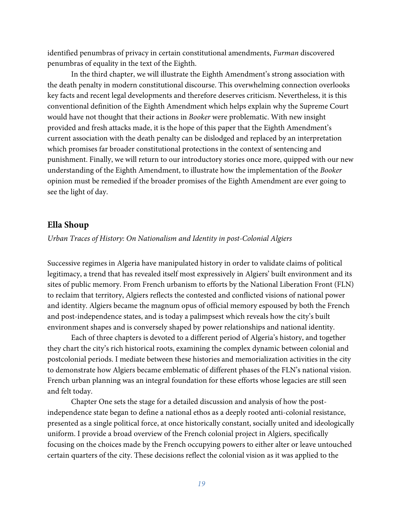identified penumbras of privacy in certain constitutional amendments, *Furman* discovered penumbras of equality in the text of the Eighth.

In the third chapter, we will illustrate the Eighth Amendment's strong association with the death penalty in modern constitutional discourse. This overwhelming connection overlooks key facts and recent legal developments and therefore deserves criticism. Nevertheless, it is this conventional definition of the Eighth Amendment which helps explain why the Supreme Court would have not thought that their actions in *Booker* were problematic. With new insight provided and fresh attacks made, it is the hope of this paper that the Eighth Amendment's current association with the death penalty can be dislodged and replaced by an interpretation which promises far broader constitutional protections in the context of sentencing and punishment. Finally, we will return to our introductory stories once more, quipped with our new understanding of the Eighth Amendment, to illustrate how the implementation of the *Booker*  opinion must be remedied if the broader promises of the Eighth Amendment are ever going to see the light of day.

## **Ella Shoup**

*Urban Traces of History: On Nationalism and Identity in post-Colonial Algiers*

Successive regimes in Algeria have manipulated history in order to validate claims of political legitimacy, a trend that has revealed itself most expressively in Algiers' built environment and its sites of public memory. From French urbanism to efforts by the National Liberation Front (FLN) to reclaim that territory, Algiers reflects the contested and conflicted visions of national power and identity. Algiers became the magnum opus of official memory espoused by both the French and post-independence states, and is today a palimpsest which reveals how the city's built environment shapes and is conversely shaped by power relationships and national identity.

Each of three chapters is devoted to a different period of Algeria's history, and together they chart the city's rich historical roots, examining the complex dynamic between colonial and postcolonial periods. I mediate between these histories and memorialization activities in the city to demonstrate how Algiers became emblematic of different phases of the FLN's national vision. French urban planning was an integral foundation for these efforts whose legacies are still seen and felt today.

Chapter One sets the stage for a detailed discussion and analysis of how the postindependence state began to define a national ethos as a deeply rooted anti-colonial resistance, presented as a single political force, at once historically constant, socially united and ideologically uniform. I provide a broad overview of the French colonial project in Algiers, specifically focusing on the choices made by the French occupying powers to either alter or leave untouched certain quarters of the city. These decisions reflect the colonial vision as it was applied to the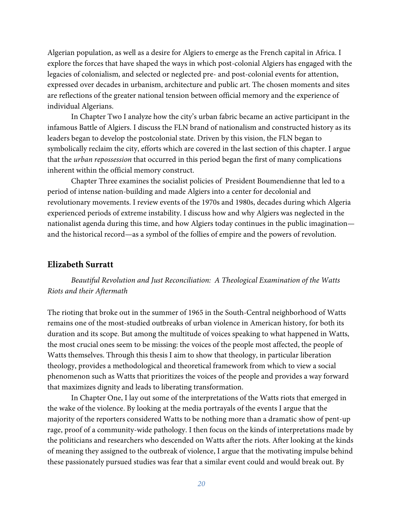Algerian population, as well as a desire for Algiers to emerge as the French capital in Africa. I explore the forces that have shaped the ways in which post-colonial Algiers has engaged with the legacies of colonialism, and selected or neglected pre- and post-colonial events for attention, expressed over decades in urbanism, architecture and public art. The chosen moments and sites are reflections of the greater national tension between official memory and the experience of individual Algerians.

In Chapter Two I analyze how the city's urban fabric became an active participant in the infamous Battle of Algiers. I discuss the FLN brand of nationalism and constructed history as its leaders began to develop the postcolonial state. Driven by this vision, the FLN began to symbolically reclaim the city, efforts which are covered in the last section of this chapter. I argue that the *urban repossession* that occurred in this period began the first of many complications inherent within the official memory construct.

Chapter Three examines the socialist policies of President Boumendienne that led to a period of intense nation-building and made Algiers into a center for decolonial and revolutionary movements. I review events of the 1970s and 1980s, decades during which Algeria experienced periods of extreme instability. I discuss how and why Algiers was neglected in the nationalist agenda during this time, and how Algiers today continues in the public imagination and the historical record—as a symbol of the follies of empire and the powers of revolution.

# **Elizabeth Surratt**

*Beautiful Revolution and Just Reconciliation: A Theological Examination of the Watts Riots and their Aftermath*

The rioting that broke out in the summer of 1965 in the South-Central neighborhood of Watts remains one of the most-studied outbreaks of urban violence in American history, for both its duration and its scope. But among the multitude of voices speaking to what happened in Watts, the most crucial ones seem to be missing: the voices of the people most affected, the people of Watts themselves. Through this thesis I aim to show that theology, in particular liberation theology, provides a methodological and theoretical framework from which to view a social phenomenon such as Watts that prioritizes the voices of the people and provides a way forward that maximizes dignity and leads to liberating transformation.

In Chapter One, I lay out some of the interpretations of the Watts riots that emerged in the wake of the violence. By looking at the media portrayals of the events I argue that the majority of the reporters considered Watts to be nothing more than a dramatic show of pent-up rage, proof of a community-wide pathology. I then focus on the kinds of interpretations made by the politicians and researchers who descended on Watts after the riots. After looking at the kinds of meaning they assigned to the outbreak of violence, I argue that the motivating impulse behind these passionately pursued studies was fear that a similar event could and would break out. By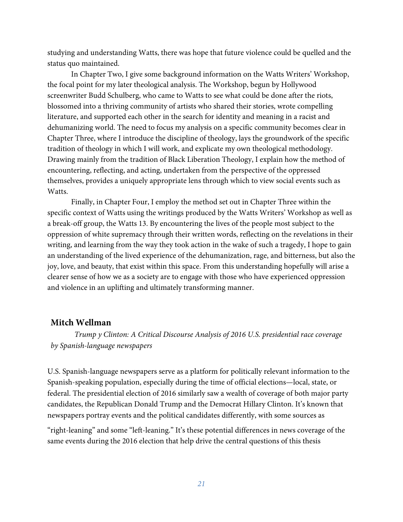studying and understanding Watts, there was hope that future violence could be quelled and the status quo maintained.

In Chapter Two, I give some background information on the Watts Writers' Workshop, the focal point for my later theological analysis. The Workshop, begun by Hollywood screenwriter Budd Schulberg, who came to Watts to see what could be done after the riots, blossomed into a thriving community of artists who shared their stories, wrote compelling literature, and supported each other in the search for identity and meaning in a racist and dehumanizing world. The need to focus my analysis on a specific community becomes clear in Chapter Three, where I introduce the discipline of theology, lays the groundwork of the specific tradition of theology in which I will work, and explicate my own theological methodology. Drawing mainly from the tradition of Black Liberation Theology, I explain how the method of encountering, reflecting, and acting, undertaken from the perspective of the oppressed themselves, provides a uniquely appropriate lens through which to view social events such as Watts.

Finally, in Chapter Four, I employ the method set out in Chapter Three within the specific context of Watts using the writings produced by the Watts Writers' Workshop as well as a break-off group, the Watts 13. By encountering the lives of the people most subject to the oppression of white supremacy through their written words, reflecting on the revelations in their writing, and learning from the way they took action in the wake of such a tragedy, I hope to gain an understanding of the lived experience of the dehumanization, rage, and bitterness, but also the joy, love, and beauty, that exist within this space. From this understanding hopefully will arise a clearer sense of how we as a society are to engage with those who have experienced oppression and violence in an uplifting and ultimately transforming manner.

# **Mitch Wellman**

*Trump y Clinton: A Critical Discourse Analysis of 2016 U.S. presidential race coverage by Spanish-language newspapers*

U.S. Spanish-language newspapers serve as a platform for politically relevant information to the Spanish-speaking population, especially during the time of official elections—local, state, or federal. The presidential election of 2016 similarly saw a wealth of coverage of both major party candidates, the Republican Donald Trump and the Democrat Hillary Clinton. It's known that newspapers portray events and the political candidates differently, with some sources as

"right-leaning" and some "left-leaning." It's these potential differences in news coverage of the same events during the 2016 election that help drive the central questions of this thesis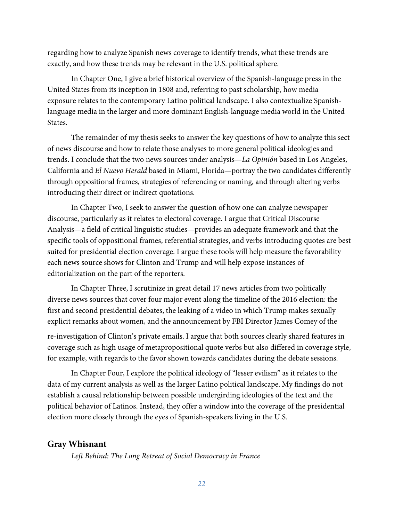regarding how to analyze Spanish news coverage to identify trends, what these trends are exactly, and how these trends may be relevant in the U.S. political sphere.

In Chapter One, I give a brief historical overview of the Spanish-language press in the United States from its inception in 1808 and, referring to past scholarship, how media exposure relates to the contemporary Latino political landscape. I also contextualize Spanishlanguage media in the larger and more dominant English-language media world in the United States.

The remainder of my thesis seeks to answer the key questions of how to analyze this sect of news discourse and how to relate those analyses to more general political ideologies and trends. I conclude that the two news sources under analysis—*La Opinión* based in Los Angeles, California and *El Nuevo Herald* based in Miami, Florida—portray the two candidates differently through oppositional frames, strategies of referencing or naming, and through altering verbs introducing their direct or indirect quotations.

In Chapter Two, I seek to answer the question of how one can analyze newspaper discourse, particularly as it relates to electoral coverage. I argue that Critical Discourse Analysis—a field of critical linguistic studies—provides an adequate framework and that the specific tools of oppositional frames, referential strategies, and verbs introducing quotes are best suited for presidential election coverage. I argue these tools will help measure the favorability each news source shows for Clinton and Trump and will help expose instances of editorialization on the part of the reporters.

In Chapter Three, I scrutinize in great detail 17 news articles from two politically diverse news sources that cover four major event along the timeline of the 2016 election: the first and second presidential debates, the leaking of a video in which Trump makes sexually explicit remarks about women, and the announcement by FBI Director James Comey of the

re-investigation of Clinton's private emails. I argue that both sources clearly shared features in coverage such as high usage of metapropositional quote verbs but also differed in coverage style, for example, with regards to the favor shown towards candidates during the debate sessions.

In Chapter Four, I explore the political ideology of "lesser evilism" as it relates to the data of my current analysis as well as the larger Latino political landscape. My findings do not establish a causal relationship between possible undergirding ideologies of the text and the political behavior of Latinos. Instead, they offer a window into the coverage of the presidential election more closely through the eyes of Spanish-speakers living in the U.S.

# **Gray Whisnant**

*Left Behind: The Long Retreat of Social Democracy in France*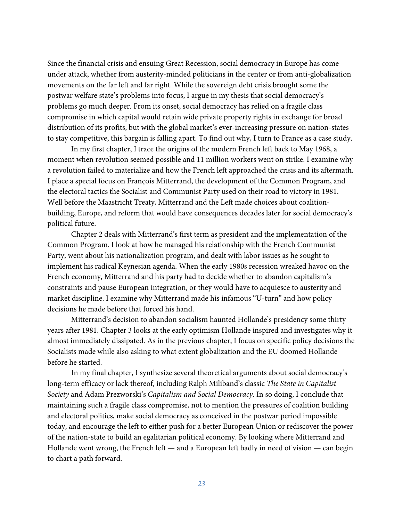Since the financial crisis and ensuing Great Recession, social democracy in Europe has come under attack, whether from austerity-minded politicians in the center or from anti-globalization movements on the far left and far right. While the sovereign debt crisis brought some the postwar welfare state's problems into focus, I argue in my thesis that social democracy's problems go much deeper. From its onset, social democracy has relied on a fragile class compromise in which capital would retain wide private property rights in exchange for broad distribution of its profits, but with the global market's ever-increasing pressure on nation-states to stay competitive, this bargain is falling apart. To find out why, I turn to France as a case study.

In my first chapter, I trace the origins of the modern French left back to May 1968, a moment when revolution seemed possible and 11 million workers went on strike. I examine why a revolution failed to materialize and how the French left approached the crisis and its aftermath. I place a special focus on François Mitterrand, the development of the Common Program, and the electoral tactics the Socialist and Communist Party used on their road to victory in 1981. Well before the Maastricht Treaty, Mitterrand and the Left made choices about coalitionbuilding, Europe, and reform that would have consequences decades later for social democracy's political future.

Chapter 2 deals with Mitterrand's first term as president and the implementation of the Common Program. I look at how he managed his relationship with the French Communist Party, went about his nationalization program, and dealt with labor issues as he sought to implement his radical Keynesian agenda. When the early 1980s recession wreaked havoc on the French economy, Mitterrand and his party had to decide whether to abandon capitalism's constraints and pause European integration, or they would have to acquiesce to austerity and market discipline. I examine why Mitterrand made his infamous "U-turn" and how policy decisions he made before that forced his hand.

Mitterrand's decision to abandon socialism haunted Hollande's presidency some thirty years after 1981. Chapter 3 looks at the early optimism Hollande inspired and investigates why it almost immediately dissipated. As in the previous chapter, I focus on specific policy decisions the Socialists made while also asking to what extent globalization and the EU doomed Hollande before he started.

In my final chapter, I synthesize several theoretical arguments about social democracy's long-term efficacy or lack thereof, including Ralph Miliband's classic *The State in Capitalist Society* and Adam Prezworski's *Capitalism and Social Democracy*. In so doing, I conclude that maintaining such a fragile class compromise, not to mention the pressures of coalition building and electoral politics, make social democracy as conceived in the postwar period impossible today, and encourage the left to either push for a better European Union or rediscover the power of the nation-state to build an egalitarian political economy. By looking where Mitterrand and Hollande went wrong, the French left — and a European left badly in need of vision — can begin to chart a path forward.